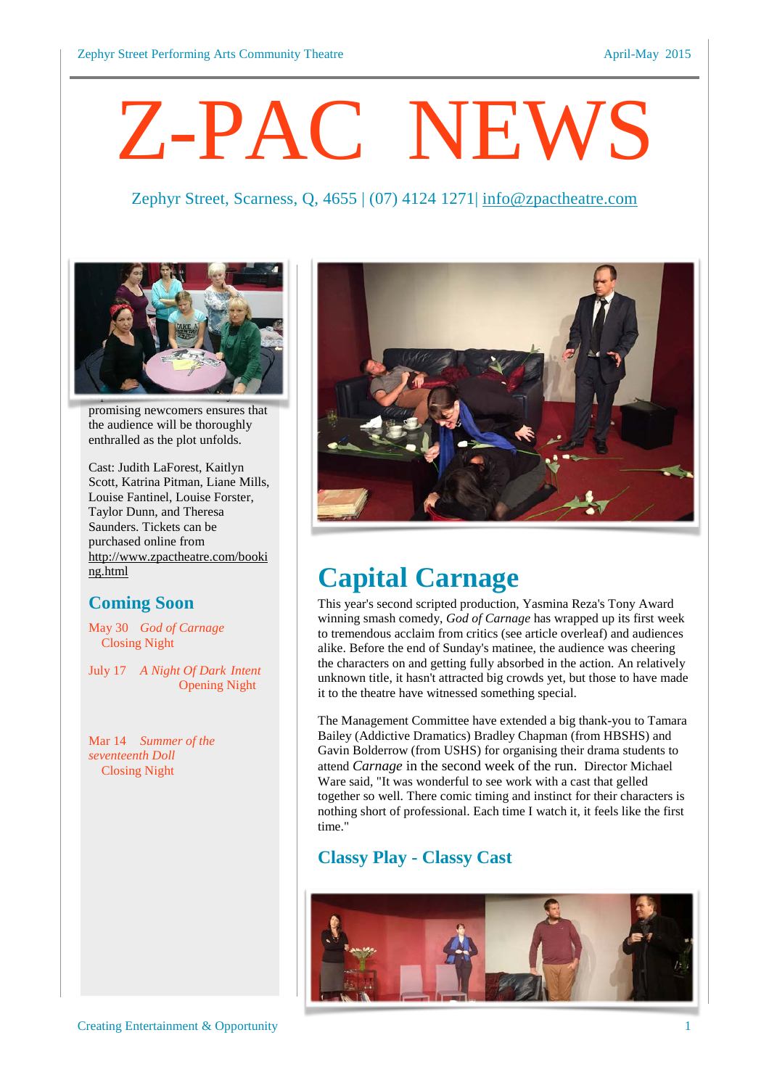# Z-PAC NEWS

#### Zephyr Street, Scarness, Q, 4655 | (07) 4124 1271| [info@zpactheatre.com](mailto:info@zpactheatre.com)



promising newcomers ensures that the audience will be thoroughly enthralled as the plot unfolds.

Cast: Judith LaForest, Kaitlyn Scott, Katrina Pitman, Liane Mills, Louise Fantinel, Louise Forster, Taylor Dunn, and Theresa Saunders. Tickets can be purchased online from [http://www.zpactheatre.com/booki](http://www.zpactheatre.com/booking.html) [ng.html](http://www.zpactheatre.com/booking.html)

#### **Coming Soon**

May 30 *God of Carnage* Closing Night

July 17 *A Night Of Dark Intent* Opening Night

Mar 14 *Summer of the seventeenth Doll* Closing Night



### **Capital Carnage**

This year's second scripted production, Yasmina Reza's Tony Award winning smash comedy, *God of Carnage* has wrapped up its first week to tremendous acclaim from critics (see article overleaf) and audiences alike. Before the end of Sunday's matinee, the audience was cheering the characters on and getting fully absorbed in the action. An relatively unknown title, it hasn't attracted big crowds yet, but those to have made it to the theatre have witnessed something special.

The Management Committee have extended a big thank-you to Tamara Bailey (Addictive Dramatics) Bradley Chapman (from HBSHS) and Gavin Bolderrow (from USHS) for organising their drama students to attend *Carnage* in the second week of the run. Director Michael Ware said, "It was wonderful to see work with a cast that gelled together so well. There comic timing and instinct for their characters is nothing short of professional. Each time I watch it, it feels like the first time."

#### **Classy Play - Classy Cast**

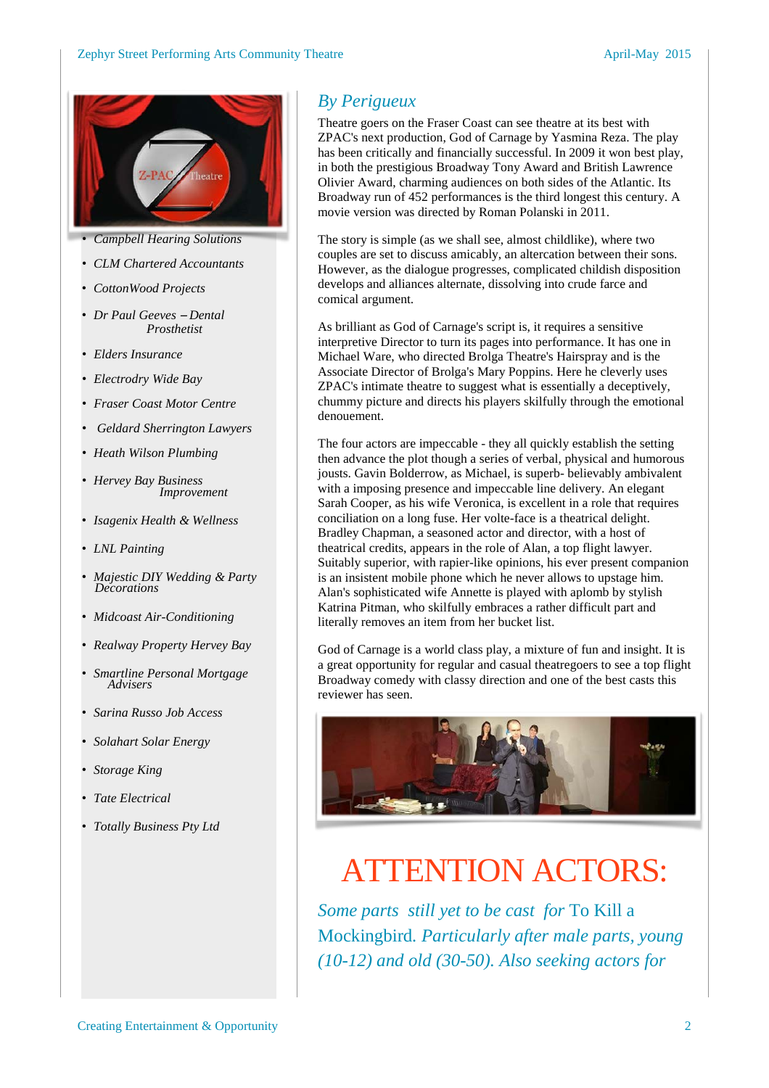

- *Campbell Hearing Solutions*
	- *CLM Chartered Accountants*
	- *CottonWood Projects*
	- *Dr Paul Geeves Dental Prosthetist*
	- *Elders Insurance*
	- *Electrodry Wide Bay*
	- *Fraser Coast Motor Centre*
	- *Geldard Sherrington Lawyers*
	- *Heath Wilson Plumbing*
	- *Hervey Bay Business Improvement*
	- *Isagenix Health & Wellness*
	- *LNL Painting*
	- *Majestic DIY Wedding & Party Decorations*
	- *Midcoast Air-Conditioning*
	- *Realway Property Hervey Bay*
	- *Smartline Personal Mortgage Advisers*
	- *Sarina Russo Job Access*
	- *Solahart Solar Energy*
	- *Storage King*
	- *Tate Electrical*
	- *Totally Business Pty Ltd*

#### *By Perigueux*

Theatre goers on the Fraser Coast can see theatre at its best with ZPAC's next production, God of Carnage by Yasmina Reza. The play has been critically and financially successful. In 2009 it won best play, in both the prestigious Broadway Tony Award and British Lawrence Olivier Award, charming audiences on both sides of the Atlantic. Its Broadway run of 452 performances is the third longest this century. A movie version was directed by Roman Polanski in 2011.

The story is simple (as we shall see, almost childlike), where two couples are set to discuss amicably, an altercation between their sons. However, as the dialogue progresses, complicated childish disposition develops and alliances alternate, dissolving into crude farce and comical argument.

As brilliant as God of Carnage's script is, it requires a sensitive interpretive Director to turn its pages into performance. It has one in Michael Ware, who directed Brolga Theatre's Hairspray and is the Associate Director of Brolga's Mary Poppins. Here he cleverly uses ZPAC's intimate theatre to suggest what is essentially a deceptively, chummy picture and directs his players skilfully through the emotional denouement.

The four actors are impeccable - they all quickly establish the setting then advance the plot though a series of verbal, physical and humorous jousts. Gavin Bolderrow, as Michael, is superb- believably ambivalent with a imposing presence and impeccable line delivery. An elegant Sarah Cooper, as his wife Veronica, is excellent in a role that requires conciliation on a long fuse. Her volte-face is a theatrical delight. Bradley Chapman, a seasoned actor and director, with a host of theatrical credits, appears in the role of Alan, a top flight lawyer. Suitably superior, with rapier-like opinions, his ever present companion is an insistent mobile phone which he never allows to upstage him. Alan's sophisticated wife Annette is played with aplomb by stylish Katrina Pitman, who skilfully embraces a rather difficult part and literally removes an item from her bucket list.

God of Carnage is a world class play, a mixture of fun and insight. It is a great opportunity for regular and casual theatregoers to see a top flight Broadway comedy with classy direction and one of the best casts this reviewer has seen.



### ATTENTION ACTORS:

*Some parts still yet to be cast for* To Kill a Mockingbird*. Particularly after male parts, young (10-12) and old (30-50). Also seeking actors for*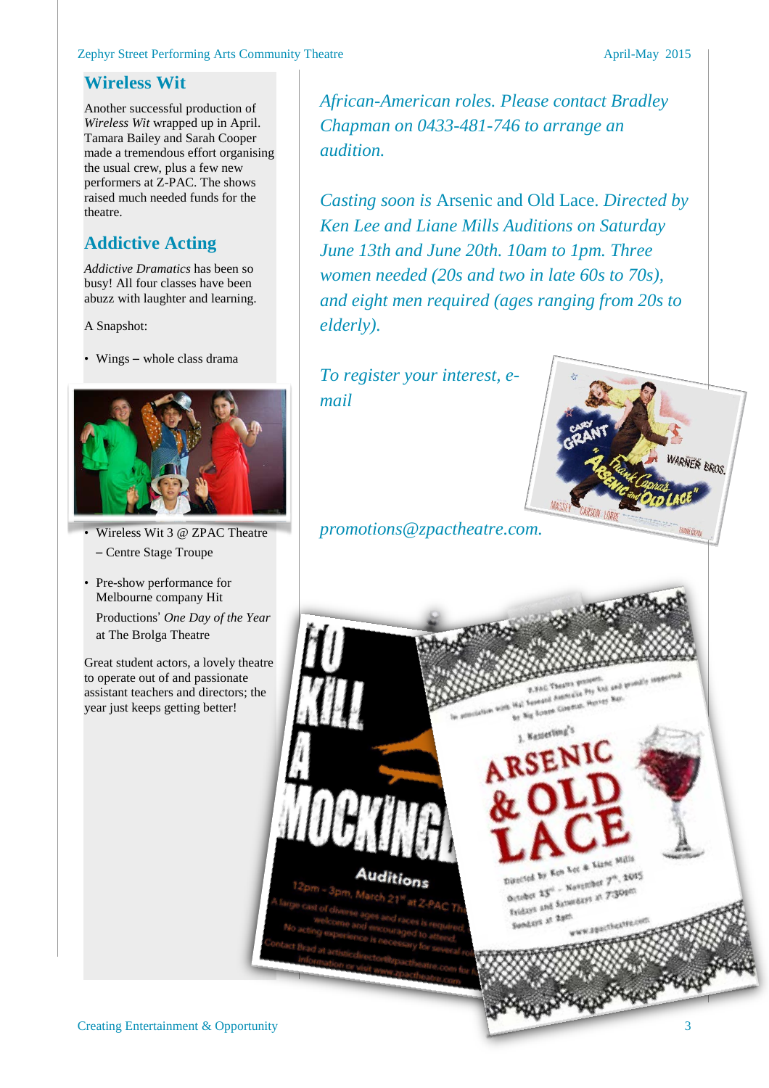#### Zephyr Street Performing Arts Community Theatre April-May 2015

#### **Wireless Wit**

Another successful production of *Wireless Wit* wrapped up in April. Tamara Bailey and Sarah Cooper made a tremendous effort organising the usual crew, plus a few new performers at Z-PAC. The shows raised much needed funds for the theatre.

#### **Addictive Acting**

*Addictive Dramatics* has been so busy! All four classes have been abuzz with laughter and learning.

A Snapshot:

• Wings – whole class drama



- Wireless Wit 3 @ ZPAC Theatre – Centre Stage Troupe
- Pre-show performance for Melbourne company Hit Productions' *One Day of the Year*

at The Brolga Theatre

Great student actors, a lovely theatre to operate out of and passionate assistant teachers and directors; the year just keeps getting better!

*African-American roles. Please contact Bradley Chapman on 0433-481-746 to arrange an audition.*

*Casting soon is* Arsenic and Old Lace. *Directed by Ken Lee and Liane Mills Auditions on Saturday June 13th and June 20th. 10am to 1pm. Three women needed (20s and two in late 60s to 70s), and eight men required (ages ranging from 20s to elderly).*

> AC Theatra premiere,<br>match Antimakia Pry Ltd, and 1<br>match Antimak, Hurvey Way, Acres Generate Herver Bay.<br>Rents Generat, Herver Bay.

**Kenterling's** 

Directed by Ken Let & Lizne Mill Directed by Ken Let & Lune<br>October 23" - Navember 7", 2015<br>October and Samundays at 7:30pm

Dutches 23" - November 7", 2001)<br>Detaber 23" - November at 7'309m

W.EBactheatry

**WANT** 

Sundays at 2pm

*To register your interest, email*

*promotions@zpactheatre.com.*

Auditions

ER BROS.

**Creating Entertainment & Opportunity** 3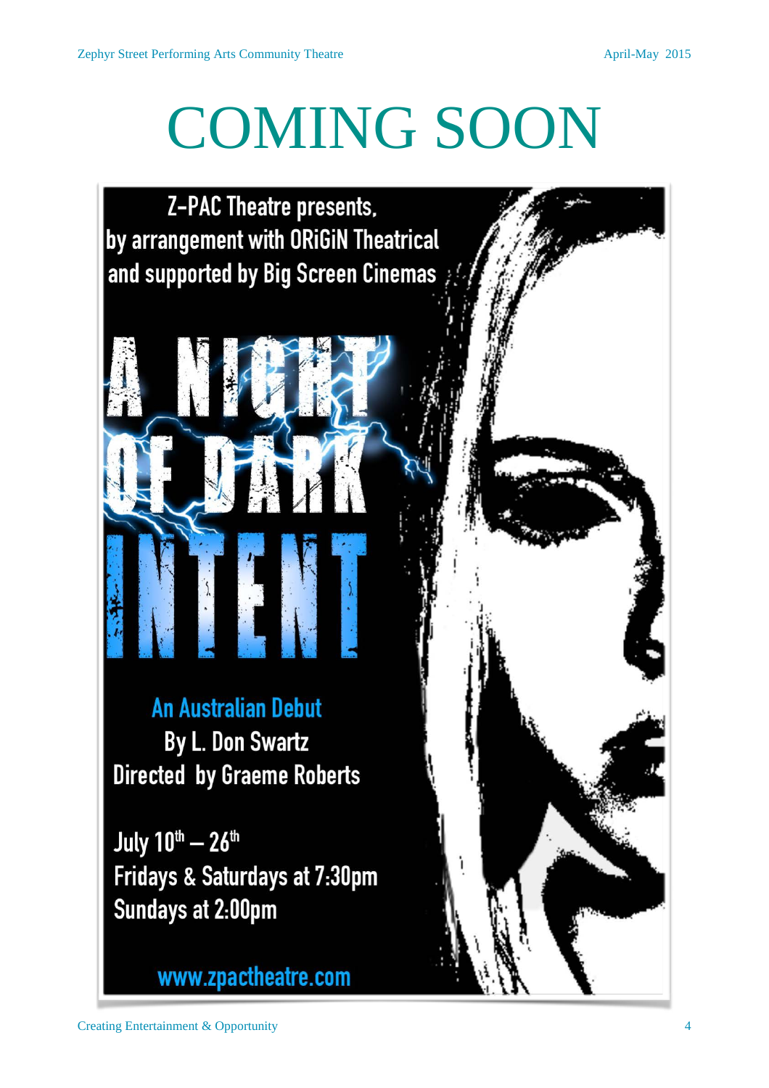## COMING SOON

**Z-PAC Theatre presents.** by arrangement with ORiGiN Theatrical and supported by Big Screen Cinemas



July 10th - 26th Fridays & Saturdays at 7:30pm **Sundays at 2:00pm** 

www.zpactheatre.com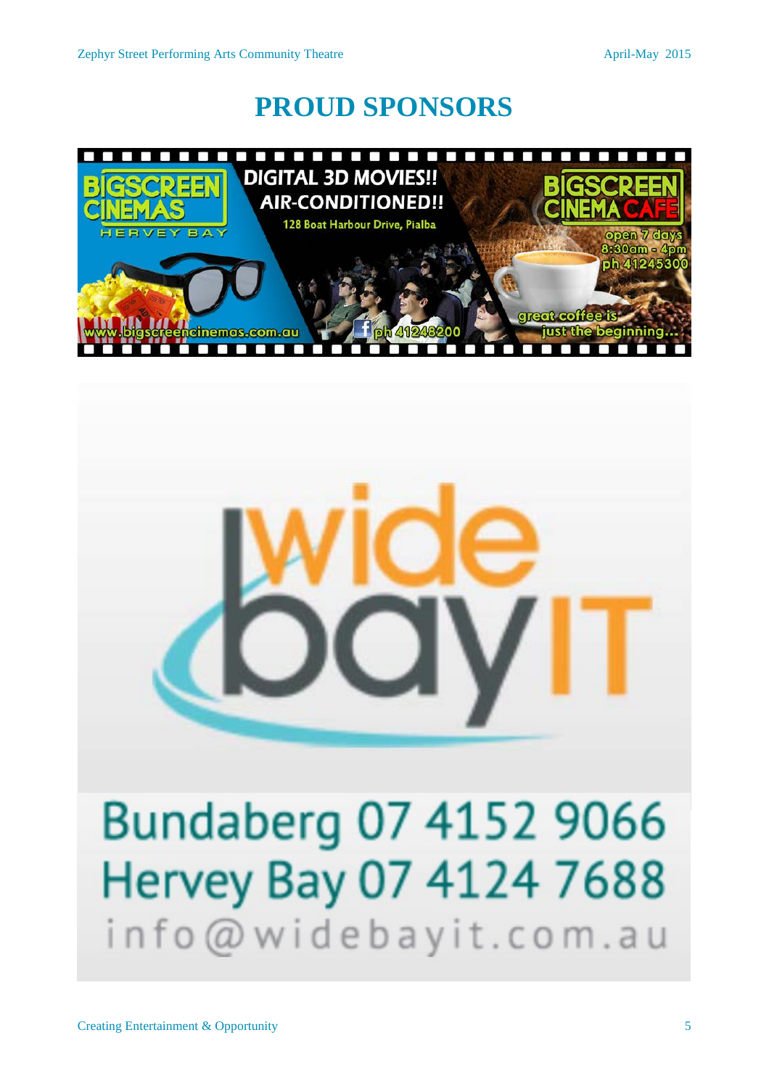### **PROUD SPONSORS**





## Bundaberg 07 4152 9066 Hervey Bay 07 4124 7688 info@widebayit.com.au